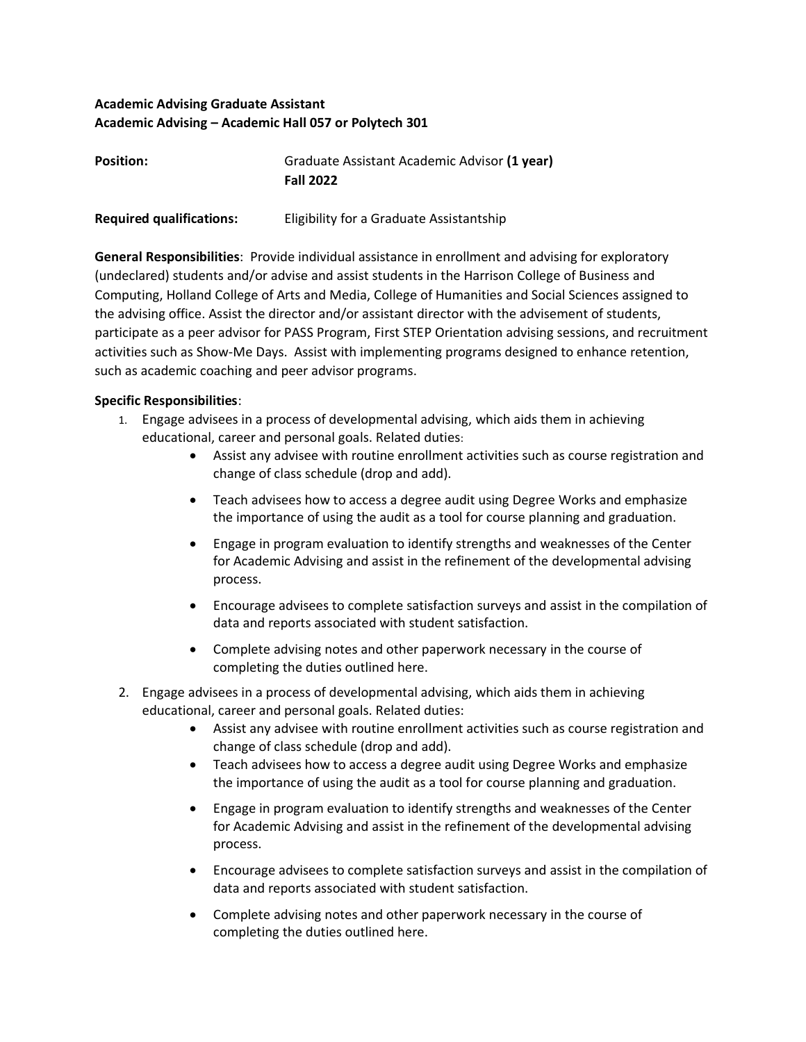## **Academic Advising Graduate Assistant Academic Advising – Academic Hall 057 or Polytech 301**

| <b>Position:</b> | Graduate Assistant Academic Advisor (1 year) |
|------------------|----------------------------------------------|
|                  | <b>Fall 2022</b>                             |
|                  |                                              |

**Required qualifications:** Eligibility for a Graduate Assistantship

**General Responsibilities**: Provide individual assistance in enrollment and advising for exploratory (undeclared) students and/or advise and assist students in the Harrison College of Business and Computing, Holland College of Arts and Media, College of Humanities and Social Sciences assigned to the advising office. Assist the director and/or assistant director with the advisement of students, participate as a peer advisor for PASS Program, First STEP Orientation advising sessions, and recruitment activities such as Show-Me Days. Assist with implementing programs designed to enhance retention, such as academic coaching and peer advisor programs.

## **Specific Responsibilities**:

- 1. Engage advisees in a process of developmental advising, which aids them in achieving educational, career and personal goals. Related duties:
	- Assist any advisee with routine enrollment activities such as course registration and change of class schedule (drop and add).
	- Teach advisees how to access a degree audit using Degree Works and emphasize the importance of using the audit as a tool for course planning and graduation.
	- Engage in program evaluation to identify strengths and weaknesses of the Center for Academic Advising and assist in the refinement of the developmental advising process.
	- Encourage advisees to complete satisfaction surveys and assist in the compilation of data and reports associated with student satisfaction.
	- Complete advising notes and other paperwork necessary in the course of completing the duties outlined here.
- 2. Engage advisees in a process of developmental advising, which aids them in achieving educational, career and personal goals. Related duties:
	- Assist any advisee with routine enrollment activities such as course registration and change of class schedule (drop and add).
	- Teach advisees how to access a degree audit using Degree Works and emphasize the importance of using the audit as a tool for course planning and graduation.
	- Engage in program evaluation to identify strengths and weaknesses of the Center for Academic Advising and assist in the refinement of the developmental advising process.
	- Encourage advisees to complete satisfaction surveys and assist in the compilation of data and reports associated with student satisfaction.
	- Complete advising notes and other paperwork necessary in the course of completing the duties outlined here.